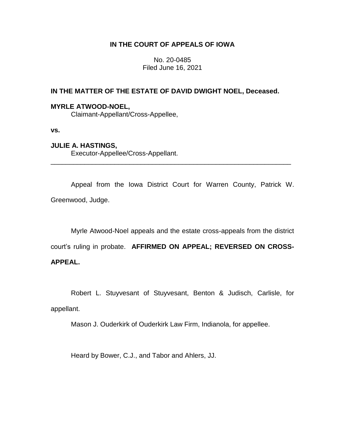# **IN THE COURT OF APPEALS OF IOWA**

No. 20-0485 Filed June 16, 2021

# **IN THE MATTER OF THE ESTATE OF DAVID DWIGHT NOEL, Deceased.**

### **MYRLE ATWOOD-NOEL,**

Claimant-Appellant/Cross-Appellee,

**vs.**

## **JULIE A. HASTINGS,**

Executor-Appellee/Cross-Appellant.

Appeal from the Iowa District Court for Warren County, Patrick W. Greenwood, Judge.

\_\_\_\_\_\_\_\_\_\_\_\_\_\_\_\_\_\_\_\_\_\_\_\_\_\_\_\_\_\_\_\_\_\_\_\_\_\_\_\_\_\_\_\_\_\_\_\_\_\_\_\_\_\_\_\_\_\_\_\_\_\_\_\_

Myrle Atwood-Noel appeals and the estate cross-appeals from the district court's ruling in probate. **AFFIRMED ON APPEAL; REVERSED ON CROSS-**

# **APPEAL.**

Robert L. Stuyvesant of Stuyvesant, Benton & Judisch, Carlisle, for

appellant.

Mason J. Ouderkirk of Ouderkirk Law Firm, Indianola, for appellee.

Heard by Bower, C.J., and Tabor and Ahlers, JJ.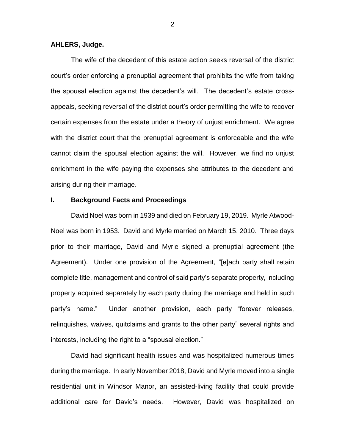#### **AHLERS, Judge.**

The wife of the decedent of this estate action seeks reversal of the district court's order enforcing a prenuptial agreement that prohibits the wife from taking the spousal election against the decedent's will. The decedent's estate crossappeals, seeking reversal of the district court's order permitting the wife to recover certain expenses from the estate under a theory of unjust enrichment. We agree with the district court that the prenuptial agreement is enforceable and the wife cannot claim the spousal election against the will. However, we find no unjust enrichment in the wife paying the expenses she attributes to the decedent and arising during their marriage.

### **I. Background Facts and Proceedings**

David Noel was born in 1939 and died on February 19, 2019. Myrle Atwood-Noel was born in 1953. David and Myrle married on March 15, 2010. Three days prior to their marriage, David and Myrle signed a prenuptial agreement (the Agreement). Under one provision of the Agreement, "[e]ach party shall retain complete title, management and control of said party's separate property, including property acquired separately by each party during the marriage and held in such party's name." Under another provision, each party "forever releases, relinquishes, waives, quitclaims and grants to the other party" several rights and interests, including the right to a "spousal election."

David had significant health issues and was hospitalized numerous times during the marriage. In early November 2018, David and Myrle moved into a single residential unit in Windsor Manor, an assisted-living facility that could provide additional care for David's needs. However, David was hospitalized on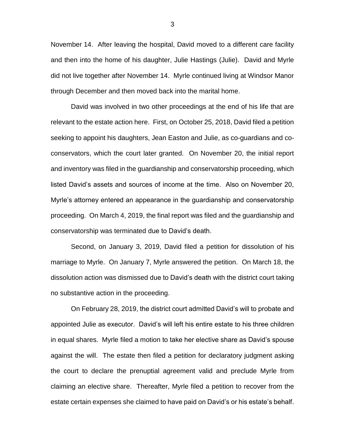November 14. After leaving the hospital, David moved to a different care facility and then into the home of his daughter, Julie Hastings (Julie). David and Myrle did not live together after November 14. Myrle continued living at Windsor Manor through December and then moved back into the marital home.

David was involved in two other proceedings at the end of his life that are relevant to the estate action here. First, on October 25, 2018, David filed a petition seeking to appoint his daughters, Jean Easton and Julie, as co-guardians and coconservators, which the court later granted. On November 20, the initial report and inventory was filed in the guardianship and conservatorship proceeding, which listed David's assets and sources of income at the time. Also on November 20, Myrle's attorney entered an appearance in the guardianship and conservatorship proceeding. On March 4, 2019, the final report was filed and the guardianship and conservatorship was terminated due to David's death.

Second, on January 3, 2019, David filed a petition for dissolution of his marriage to Myrle. On January 7, Myrle answered the petition. On March 18, the dissolution action was dismissed due to David's death with the district court taking no substantive action in the proceeding.

On February 28, 2019, the district court admitted David's will to probate and appointed Julie as executor. David's will left his entire estate to his three children in equal shares. Myrle filed a motion to take her elective share as David's spouse against the will. The estate then filed a petition for declaratory judgment asking the court to declare the prenuptial agreement valid and preclude Myrle from claiming an elective share. Thereafter, Myrle filed a petition to recover from the estate certain expenses she claimed to have paid on David's or his estate's behalf.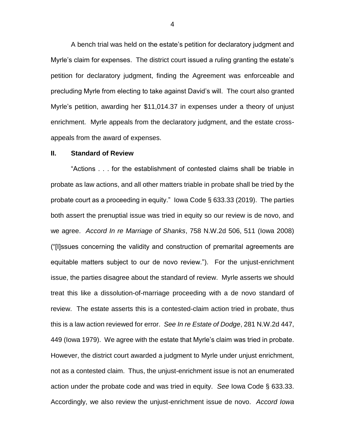A bench trial was held on the estate's petition for declaratory judgment and Myrle's claim for expenses. The district court issued a ruling granting the estate's petition for declaratory judgment, finding the Agreement was enforceable and precluding Myrle from electing to take against David's will. The court also granted Myrle's petition, awarding her \$11,014.37 in expenses under a theory of unjust enrichment. Myrle appeals from the declaratory judgment, and the estate crossappeals from the award of expenses.

#### **II. Standard of Review**

"Actions . . . for the establishment of contested claims shall be triable in probate as law actions, and all other matters triable in probate shall be tried by the probate court as a proceeding in equity." Iowa Code § 633.33 (2019). The parties both assert the prenuptial issue was tried in equity so our review is de novo, and we agree. *Accord In re Marriage of Shanks*, 758 N.W.2d 506, 511 (Iowa 2008) ("[I]ssues concerning the validity and construction of premarital agreements are equitable matters subject to our de novo review."). For the unjust-enrichment issue, the parties disagree about the standard of review. Myrle asserts we should treat this like a dissolution-of-marriage proceeding with a de novo standard of review. The estate asserts this is a contested-claim action tried in probate, thus this is a law action reviewed for error. *See In re Estate of Dodge*, 281 N.W.2d 447, 449 (Iowa 1979). We agree with the estate that Myrle's claim was tried in probate. However, the district court awarded a judgment to Myrle under unjust enrichment, not as a contested claim. Thus, the unjust-enrichment issue is not an enumerated action under the probate code and was tried in equity. *See* Iowa Code § 633.33. Accordingly, we also review the unjust-enrichment issue de novo. *Accord Iowa*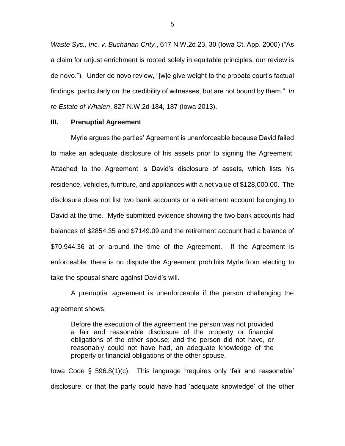*Waste Sys., Inc. v. Buchanan Cnty.*, 617 N.W.2d 23, 30 (Iowa Ct. App. 2000) ("As a claim for unjust enrichment is rooted solely in equitable principles, our review is de novo.").Under de novo review, "[w]e give weight to the probate court's factual findings, particularly on the credibility of witnesses, but are not bound by them." *In re Estate of Whalen*, 827 N.W.2d 184, 187 (Iowa 2013).

#### **III. Prenuptial Agreement**

Myrle argues the parties' Agreement is unenforceable because David failed to make an adequate disclosure of his assets prior to signing the Agreement. Attached to the Agreement is David's disclosure of assets, which lists his residence, vehicles, furniture, and appliances with a net value of \$128,000.00. The disclosure does not list two bank accounts or a retirement account belonging to David at the time. Myrle submitted evidence showing the two bank accounts had balances of \$2854.35 and \$7149.09 and the retirement account had a balance of \$70,944.36 at or around the time of the Agreement. If the Agreement is enforceable, there is no dispute the Agreement prohibits Myrle from electing to take the spousal share against David's will.

A prenuptial agreement is unenforceable if the person challenging the agreement shows:

Before the execution of the agreement the person was not provided a fair and reasonable disclosure of the property or financial obligations of the other spouse; and the person did not have, or reasonably could not have had, an adequate knowledge of the property or financial obligations of the other spouse.

Iowa Code § 596.8(1)(c). This language "requires only 'fair and reasonable' disclosure, or that the party could have had 'adequate knowledge' of the other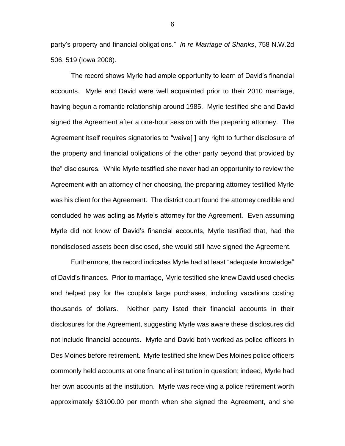party's property and financial obligations." *In re Marriage of Shanks*, 758 N.W.2d 506, 519 (Iowa 2008).

The record shows Myrle had ample opportunity to learn of David's financial accounts. Myrle and David were well acquainted prior to their 2010 marriage, having begun a romantic relationship around 1985. Myrle testified she and David signed the Agreement after a one-hour session with the preparing attorney. The Agreement itself requires signatories to "waive[ ] any right to further disclosure of the property and financial obligations of the other party beyond that provided by the" disclosures. While Myrle testified she never had an opportunity to review the Agreement with an attorney of her choosing, the preparing attorney testified Myrle was his client for the Agreement. The district court found the attorney credible and concluded he was acting as Myrle's attorney for the Agreement. Even assuming Myrle did not know of David's financial accounts, Myrle testified that, had the nondisclosed assets been disclosed, she would still have signed the Agreement.

Furthermore, the record indicates Myrle had at least "adequate knowledge" of David's finances. Prior to marriage, Myrle testified she knew David used checks and helped pay for the couple's large purchases, including vacations costing thousands of dollars. Neither party listed their financial accounts in their disclosures for the Agreement, suggesting Myrle was aware these disclosures did not include financial accounts. Myrle and David both worked as police officers in Des Moines before retirement. Myrle testified she knew Des Moines police officers commonly held accounts at one financial institution in question; indeed, Myrle had her own accounts at the institution. Myrle was receiving a police retirement worth approximately \$3100.00 per month when she signed the Agreement, and she

6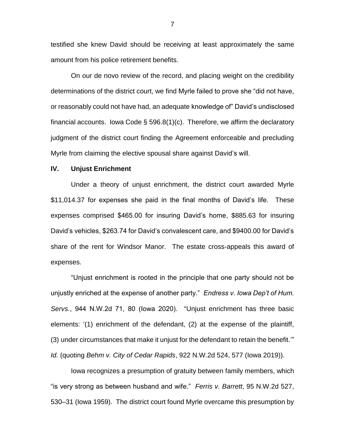testified she knew David should be receiving at least approximately the same amount from his police retirement benefits.

On our de novo review of the record, and placing weight on the credibility determinations of the district court, we find Myrle failed to prove she "did not have, or reasonably could not have had, an adequate knowledge of" David's undisclosed financial accounts. Iowa Code § 596.8(1)(c). Therefore, we affirm the declaratory judgment of the district court finding the Agreement enforceable and precluding Myrle from claiming the elective spousal share against David's will.

#### **IV. Unjust Enrichment**

Under a theory of unjust enrichment, the district court awarded Myrle \$11,014.37 for expenses she paid in the final months of David's life. These expenses comprised \$465.00 for insuring David's home, \$885.63 for insuring David's vehicles, \$263.74 for David's convalescent care, and \$9400.00 for David's share of the rent for Windsor Manor. The estate cross-appeals this award of expenses.

"Unjust enrichment is rooted in the principle that one party should not be unjustly enriched at the expense of another party." *Endress v. Iowa Dep't of Hum. Servs.*, 944 N.W.2d 71, 80 (Iowa 2020). "Unjust enrichment has three basic elements: '(1) enrichment of the defendant, (2) at the expense of the plaintiff, (3) under circumstances that make it unjust for the defendant to retain the benefit.'" *Id.* (quoting *Behm v. City of Cedar Rapids*, 922 N.W.2d 524, 577 (Iowa 2019)).

Iowa recognizes a presumption of gratuity between family members, which "is very strong as between husband and wife." *Ferris v. Barrett*, 95 N.W.2d 527, 530–31 (Iowa 1959). The district court found Myrle overcame this presumption by

7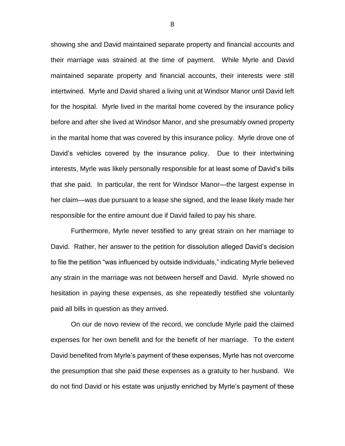showing she and David maintained separate property and financial accounts and their marriage was strained at the time of payment. While Myrle and David maintained separate property and financial accounts, their interests were still intertwined. Myrle and David shared a living unit at Windsor Manor until David left for the hospital. Myrle lived in the marital home covered by the insurance policy before and after she lived at Windsor Manor, and she presumably owned property in the marital home that was covered by this insurance policy. Myrle drove one of David's vehicles covered by the insurance policy. Due to their intertwining interests, Myrle was likely personally responsible for at least some of David's bills that she paid. In particular, the rent for Windsor Manor—the largest expense in her claim—was due pursuant to a lease she signed, and the lease likely made her responsible for the entire amount due if David failed to pay his share.

Furthermore, Myrle never testified to any great strain on her marriage to David. Rather, her answer to the petition for dissolution alleged David's decision to file the petition "was influenced by outside individuals," indicating Myrle believed any strain in the marriage was not between herself and David. Myrle showed no hesitation in paying these expenses, as she repeatedly testified she voluntarily paid all bills in question as they arrived.

On our de novo review of the record, we conclude Myrle paid the claimed expenses for her own benefit and for the benefit of her marriage. To the extent David benefited from Myrle's payment of these expenses, Myrle has not overcome the presumption that she paid these expenses as a gratuity to her husband. We do not find David or his estate was unjustly enriched by Myrle's payment of these

8